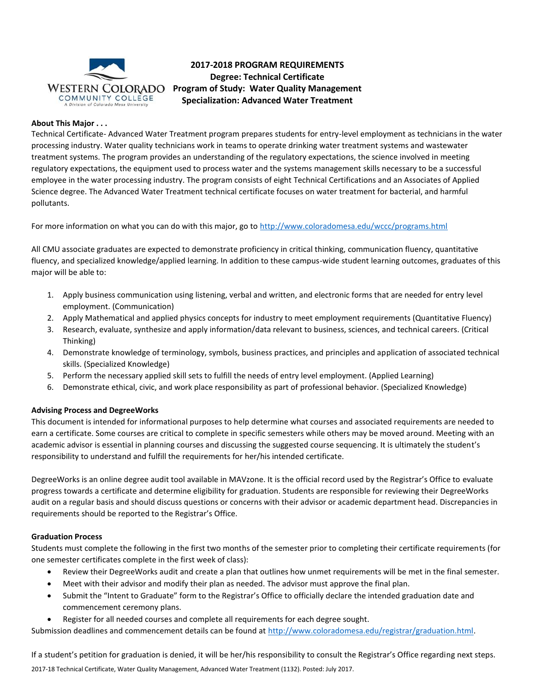

# **2017-2018 PROGRAM REQUIREMENTS Degree: Technical Certificate Program of Study: Water Quality Management Specialization: Advanced Water Treatment**

## **About This Major . . .**

Technical Certificate- Advanced Water Treatment program prepares students for entry-level employment as technicians in the water processing industry. Water quality technicians work in teams to operate drinking water treatment systems and wastewater treatment systems. The program provides an understanding of the regulatory expectations, the science involved in meeting regulatory expectations, the equipment used to process water and the systems management skills necessary to be a successful employee in the water processing industry. The program consists of eight Technical Certifications and an Associates of Applied Science degree. The Advanced Water Treatment technical certificate focuses on water treatment for bacterial, and harmful pollutants.

For more information on what you can do with this major, go t[o http://www.coloradomesa.edu/wccc/programs.html](http://www.coloradomesa.edu/wccc/programs.html)

All CMU associate graduates are expected to demonstrate proficiency in critical thinking, communication fluency, quantitative fluency, and specialized knowledge/applied learning. In addition to these campus-wide student learning outcomes, graduates of this major will be able to:

- 1. Apply business communication using listening, verbal and written, and electronic forms that are needed for entry level employment. (Communication)
- 2. Apply Mathematical and applied physics concepts for industry to meet employment requirements (Quantitative Fluency)
- 3. Research, evaluate, synthesize and apply information/data relevant to business, sciences, and technical careers. (Critical Thinking)
- 4. Demonstrate knowledge of terminology, symbols, business practices, and principles and application of associated technical skills. (Specialized Knowledge)
- 5. Perform the necessary applied skill sets to fulfill the needs of entry level employment. (Applied Learning)
- 6. Demonstrate ethical, civic, and work place responsibility as part of professional behavior. (Specialized Knowledge)

## **Advising Process and DegreeWorks**

This document is intended for informational purposes to help determine what courses and associated requirements are needed to earn a certificate. Some courses are critical to complete in specific semesters while others may be moved around. Meeting with an academic advisor is essential in planning courses and discussing the suggested course sequencing. It is ultimately the student's responsibility to understand and fulfill the requirements for her/his intended certificate.

DegreeWorks is an online degree audit tool available in MAVzone. It is the official record used by the Registrar's Office to evaluate progress towards a certificate and determine eligibility for graduation. Students are responsible for reviewing their DegreeWorks audit on a regular basis and should discuss questions or concerns with their advisor or academic department head. Discrepancies in requirements should be reported to the Registrar's Office.

## **Graduation Process**

Students must complete the following in the first two months of the semester prior to completing their certificate requirements (for one semester certificates complete in the first week of class):

- Review their DegreeWorks audit and create a plan that outlines how unmet requirements will be met in the final semester.
- Meet with their advisor and modify their plan as needed. The advisor must approve the final plan.
- Submit the "Intent to Graduate" form to the Registrar's Office to officially declare the intended graduation date and commencement ceremony plans.
- Register for all needed courses and complete all requirements for each degree sought.

Submission deadlines and commencement details can be found at [http://www.coloradomesa.edu/registrar/graduation.html.](http://www.coloradomesa.edu/registrar/graduation.html)

2017-18 Technical Certificate, Water Quality Management, Advanced Water Treatment (1132). Posted: July 2017. If a student's petition for graduation is denied, it will be her/his responsibility to consult the Registrar's Office regarding next steps.